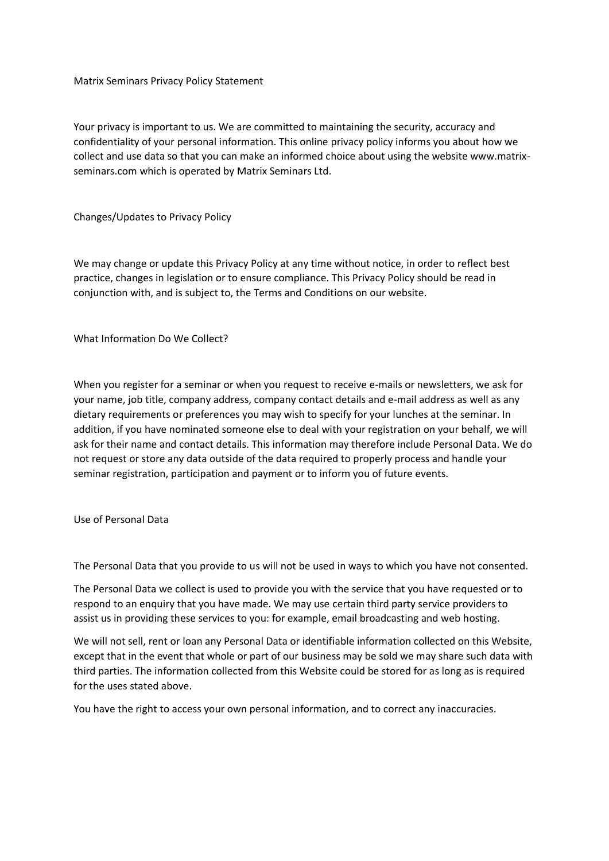Matrix Seminars Privacy Policy Statement

Your privacy is important to us. We are committed to maintaining the security, accuracy and confidentiality of your personal information. This online privacy policy informs you about how we collect and use data so that you can make an informed choice about using the website www.matrixseminars.com which is operated by Matrix Seminars Ltd.

Changes/Updates to Privacy Policy

We may change or update this Privacy Policy at any time without notice, in order to reflect best practice, changes in legislation or to ensure compliance. This Privacy Policy should be read in conjunction with, and is subject to, the Terms and Conditions on our website.

What Information Do We Collect?

When you register for a seminar or when you request to receive e-mails or newsletters, we ask for your name, job title, company address, company contact details and e-mail address as well as any dietary requirements or preferences you may wish to specify for your lunches at the seminar. In addition, if you have nominated someone else to deal with your registration on your behalf, we will ask for their name and contact details. This information may therefore include Personal Data. We do not request or store any data outside of the data required to properly process and handle your seminar registration, participation and payment or to inform you of future events.

Use of Personal Data

The Personal Data that you provide to us will not be used in ways to which you have not consented.

The Personal Data we collect is used to provide you with the service that you have requested or to respond to an enquiry that you have made. We may use certain third party service providers to assist us in providing these services to you: for example, email broadcasting and web hosting.

We will not sell, rent or loan any Personal Data or identifiable information collected on this Website, except that in the event that whole or part of our business may be sold we may share such data with third parties. The information collected from this Website could be stored for as long as is required for the uses stated above.

You have the right to access your own personal information, and to correct any inaccuracies.